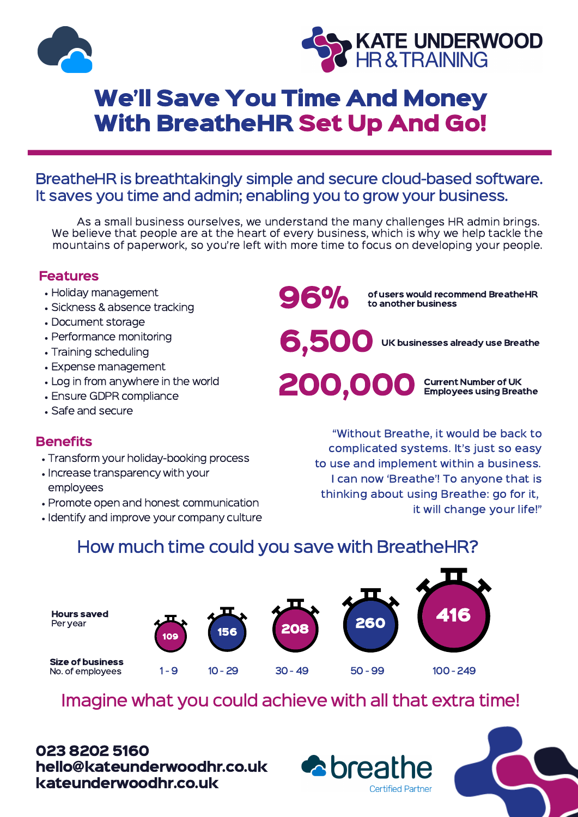



## We'll Save You Time And Money With BreatheHR Set Up And Go!

#### BreatheHR is breathtakingly simple and secure cloud-based software. It saves you time and admin; enabling you to grow your business.

As a small business ourselves, we understand the many challenges HR admin brings. We believe that people are at the heart of every business, which is why we help tackle the mountains of paperwork, so you're left with more time to focus on developing your people.

#### Features

- Holiday management
- Sickness & absence tracking
- Document storage
- Performance monitoring
- Training scheduling
- Expense management
- Log in from anywhere in the world
- Ensure GDPR compliance
- Safe and secure

#### **Benefits**

- Transform your holiday-booking process
- Increase transparency with your employees
- Promote open and honest communication
- Identify and improve your company culture

96%

of users would recommend BreatheHR to another business

6,500

UK businesses already use Breathe

200,000

Current Number of UK Employees using Breathe

"Without Breathe, it would be back to complicated systems. It's just so easy to use and implement within a business. I can now 'Breathe'! To anyone that is thinking about using Breathe: go for it, it will change your life!"

### How much time could you save with BreatheHR?







Size of business No. of employees

- 1 9 10 29 30 49 50 99 100 249
	-

**Certified Partner** 

Imagine what you could achieve with all that extra time!

023 8202 5160 hello@kateunderwoodhr.co.uk<br>hello@kateunderwoodhr.co.uk kateunderwoodhr.co.uk